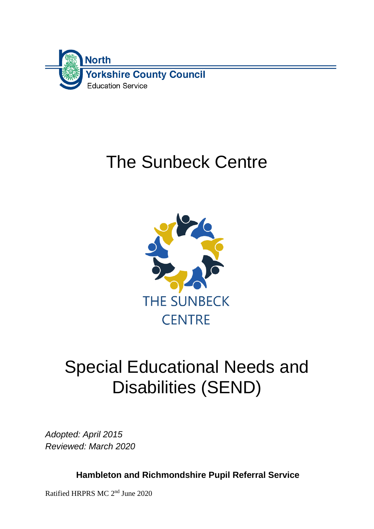

# The Sunbeck Centre



# Special Educational Needs and Disabilities (SEND)

*Adopted: April 2015 Reviewed: March 2020*

**Hambleton and Richmondshire Pupil Referral Service**

Ratified HRPRS MC 2<sup>nd</sup> June 2020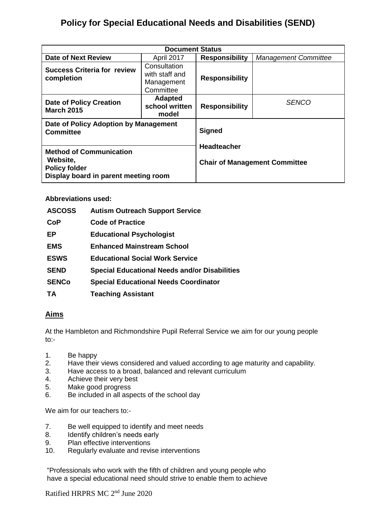# **Policy for Special Educational Needs and Disabilities (SEND)**

| <b>Document Status</b>                                                                                     |                                                           |                                                            |                             |  |  |  |
|------------------------------------------------------------------------------------------------------------|-----------------------------------------------------------|------------------------------------------------------------|-----------------------------|--|--|--|
| Date of Next Review                                                                                        | April 2017                                                | <b>Responsibility</b>                                      | <b>Management Committee</b> |  |  |  |
| <b>Success Criteria for review</b><br>completion                                                           | Consultation<br>with staff and<br>Management<br>Committee | <b>Responsibility</b>                                      |                             |  |  |  |
| <b>Date of Policy Creation</b><br><b>March 2015</b>                                                        | <b>Adapted</b><br>school written<br>model                 | <b>Responsibility</b>                                      | <b>SENCO</b>                |  |  |  |
| Date of Policy Adoption by Management<br><b>Committee</b>                                                  |                                                           | <b>Signed</b>                                              |                             |  |  |  |
| <b>Method of Communication</b><br>Website,<br><b>Policy folder</b><br>Display board in parent meeting room |                                                           | <b>Headteacher</b><br><b>Chair of Management Committee</b> |                             |  |  |  |

#### **Abbreviations used:**

| <b>ASCOSS</b> | <b>Autism Outreach Support Service</b>               |
|---------------|------------------------------------------------------|
| <b>CoP</b>    | <b>Code of Practice</b>                              |
| EP            | <b>Educational Psychologist</b>                      |
| <b>EMS</b>    | <b>Enhanced Mainstream School</b>                    |
| <b>ESWS</b>   | <b>Educational Social Work Service</b>               |
| <b>SEND</b>   | <b>Special Educational Needs and/or Disabilities</b> |
| <b>SENCo</b>  | <b>Special Educational Needs Coordinator</b>         |
| TA            | <b>Teaching Assistant</b>                            |

## **Aims**

At the Hambleton and Richmondshire Pupil Referral Service we aim for our young people to:-

- 1. Be happy
- 2. Have their views considered and valued according to age maturity and capability.
- 3. Have access to a broad, balanced and relevant curriculum
- 4. Achieve their very best
- 5. Make good progress
- 6. Be included in all aspects of the school day

We aim for our teachers to:-

- 7. Be well equipped to identify and meet needs
- 8. Identify children's needs early
- 9. Plan effective interventions
- 10. Regularly evaluate and revise interventions

"Professionals who work with the fifth of children and young people who have a special educational need should strive to enable them to achieve

Ratified HRPRS MC 2<sup>nd</sup> June 2020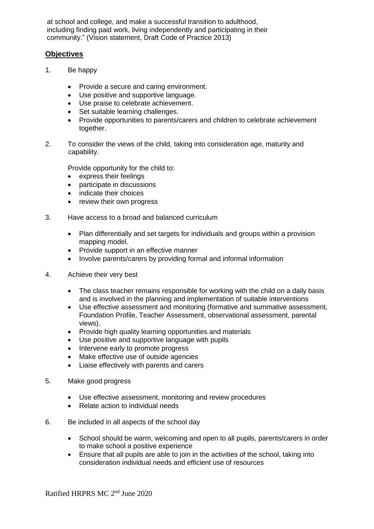at school and college, and make a successful transition to adulthood, including finding paid work, living independently and participating in their community." (Vision statement, Draft Code of Practice 2013)

### **Objectives**

- 1. Be happy
	- Provide a secure and caring environment.
	- Use positive and supportive language.
	- Use praise to celebrate achievement.
	- Set suitable learning challenges.
	- Provide opportunities to parents/carers and children to celebrate achievement together.
- 2. To consider the views of the child, taking into consideration age, maturity and capability.

Provide opportunity for the child to:

- express their feelings
- participate in discussions
- indicate their choices
- review their own progress
- 3. Have access to a broad and balanced curriculum
	- Plan differentially and set targets for individuals and groups within a provision mapping model.
	- Provide support in an effective manner
	- Involve parents/carers by providing formal and informal information
- 4. Achieve their very best
	- The class teacher remains responsible for working with the child on a daily basis and is involved in the planning and implementation of suitable interventions
	- Use effective assessment and monitoring (formative and summative assessment, Foundation Profile, Teacher Assessment, observational assessment, parental views).
	- Provide high quality learning opportunities and materials
	- Use positive and supportive language with pupils
	- Intervene early to promote progress
	- Make effective use of outside agencies
	- Liaise effectively with parents and carers
- 5. Make good progress
	- Use effective assessment, monitoring and review procedures
	- Relate action to individual needs
- 6. Be included in all aspects of the school day
	- School should be warm, welcoming and open to all pupils, parents/carers in order to make school a positive experience
	- Ensure that all pupils are able to join in the activities of the school, taking into consideration individual needs and efficient use of resources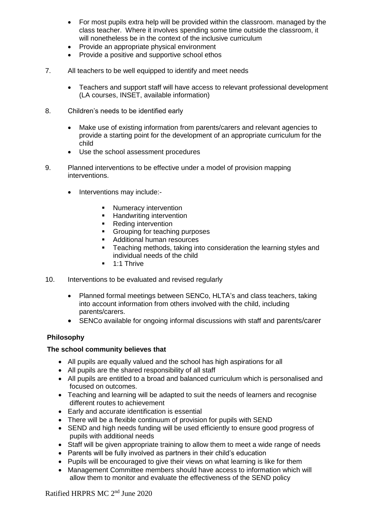- For most pupils extra help will be provided within the classroom. managed by the class teacher. Where it involves spending some time outside the classroom, it will nonetheless be in the context of the inclusive curriculum
- Provide an appropriate physical environment
- Provide a positive and supportive school ethos
- 7. All teachers to be well equipped to identify and meet needs
	- Teachers and support staff will have access to relevant professional development (LA courses, INSET, available information)
- 8. Children's needs to be identified early
	- Make use of existing information from parents/carers and relevant agencies to provide a starting point for the development of an appropriate curriculum for the child
	- Use the school assessment procedures
- 9. Planned interventions to be effective under a model of provision mapping interventions.
	- Interventions may include:-
		- **Numeracy intervention**
		- **Handwriting intervention**
		- Reding intervention
		- Grouping for teaching purposes
		- Additional human resources
		- **Teaching methods, taking into consideration the learning styles and** individual needs of the child
		- $-1:1$  Thrive
- 10. Interventions to be evaluated and revised regularly
	- Planned formal meetings between SENCo, HLTA's and class teachers, taking into account information from others involved with the child, including parents/carers.
	- SENCo available for ongoing informal discussions with staff and parents/carer

#### **Philosophy**

#### **The school community believes that**

- All pupils are equally valued and the school has high aspirations for all
- All pupils are the shared responsibility of all staff
- All pupils are entitled to a broad and balanced curriculum which is personalised and focused on outcomes.
- Teaching and learning will be adapted to suit the needs of learners and recognise different routes to achievement
- Early and accurate identification is essential
- There will be a flexible continuum of provision for pupils with SEND
- SEND and high needs funding will be used efficiently to ensure good progress of pupils with additional needs
- Staff will be given appropriate training to allow them to meet a wide range of needs
- Parents will be fully involved as partners in their child's education
- Pupils will be encouraged to give their views on what learning is like for them
- Management Committee members should have access to information which will allow them to monitor and evaluate the effectiveness of the SEND policy

Ratified HRPRS MC 2<sup>nd</sup> June 2020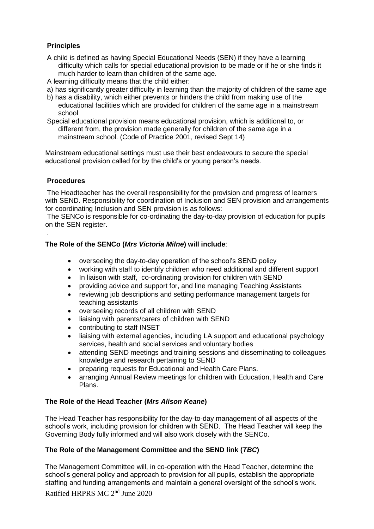## **Principles**

- A child is defined as having Special Educational Needs (SEN) if they have a learning difficulty which calls for special educational provision to be made or if he or she finds it much harder to learn than children of the same age.
- A learning difficulty means that the child either:
- a) has significantly greater difficulty in learning than the majority of children of the same age
- b) has a disability, which either prevents or hinders the child from making use of the educational facilities which are provided for children of the same age in a mainstream school
- Special educational provision means educational provision, which is additional to, or different from, the provision made generally for children of the same age in a mainstream school. (Code of Practice 2001, revised Sept 14)

Mainstream educational settings must use their best endeavours to secure the special educational provision called for by the child's or young person's needs.

#### **Procedures**

.

The Headteacher has the overall responsibility for the provision and progress of learners with SEND. Responsibility for coordination of Inclusion and SEN provision and arrangements for coordinating Inclusion and SEN provision is as follows:

The SENCo is responsible for co-ordinating the day-to-day provision of education for pupils on the SEN register.

#### **The Role of the SENCo (***Mrs Victoria Milne***) will include**:

- overseeing the day-to-day operation of the school's SEND policy
- working with staff to identify children who need additional and different support
- In liaison with staff, co-ordinating provision for children with SEND
- providing advice and support for, and line managing Teaching Assistants
- reviewing job descriptions and setting performance management targets for teaching assistants
- overseeing records of all children with SEND
- liaising with parents/carers of children with SEND
- contributing to staff INSET
- liaising with external agencies, including LA support and educational psychology services, health and social services and voluntary bodies
- attending SEND meetings and training sessions and disseminating to colleagues knowledge and research pertaining to SEND
- preparing requests for Educational and Health Care Plans.
- arranging Annual Review meetings for children with Education, Health and Care Plans.

#### **The Role of the Head Teacher (***Mrs Alison Keane***)**

The Head Teacher has responsibility for the day-to-day management of all aspects of the school's work, including provision for children with SEND. The Head Teacher will keep the Governing Body fully informed and will also work closely with the SENCo.

#### **The Role of the Management Committee and the SEND link (***TBC***)**

Ratified HRPRS MC 2<sup>nd</sup> June 2020 The Management Committee will, in co-operation with the Head Teacher, determine the school's general policy and approach to provision for all pupils, establish the appropriate staffing and funding arrangements and maintain a general oversight of the school's work.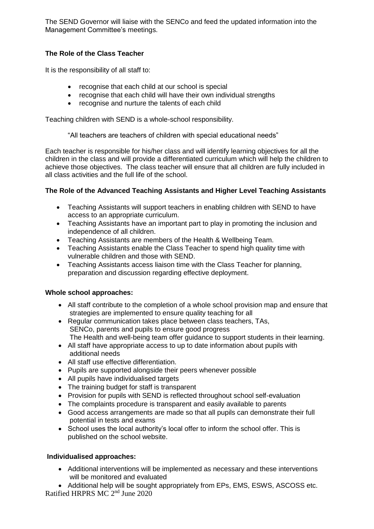The SEND Governor will liaise with the SENCo and feed the updated information into the Management Committee's meetings.

#### **The Role of the Class Teacher**

It is the responsibility of all staff to:

- recognise that each child at our school is special
- recognise that each child will have their own individual strengths
- recognise and nurture the talents of each child

Teaching children with SEND is a whole-school responsibility.

"All teachers are teachers of children with special educational needs"

Each teacher is responsible for his/her class and will identify learning objectives for all the children in the class and will provide a differentiated curriculum which will help the children to achieve those objectives. The class teacher will ensure that all children are fully included in all class activities and the full life of the school.

#### **The Role of the Advanced Teaching Assistants and Higher Level Teaching Assistants**

- Teaching Assistants will support teachers in enabling children with SEND to have access to an appropriate curriculum.
- Teaching Assistants have an important part to play in promoting the inclusion and independence of all children.
- Teaching Assistants are members of the Health & Wellbeing Team.
- Teaching Assistants enable the Class Teacher to spend high quality time with vulnerable children and those with SEND.
- Teaching Assistants access liaison time with the Class Teacher for planning, preparation and discussion regarding effective deployment.

#### **Whole school approaches:**

- All staff contribute to the completion of a whole school provision map and ensure that strategies are implemented to ensure quality teaching for all
- Regular communication takes place between class teachers, TAs, SENCo, parents and pupils to ensure good progress The Health and well-being team offer guidance to support students in their learning.
- All staff have appropriate access to up to date information about pupils with additional needs
- All staff use effective differentiation.
- Pupils are supported alongside their peers whenever possible
- All pupils have individualised targets
- The training budget for staff is transparent
- Provision for pupils with SEND is reflected throughout school self-evaluation
- The complaints procedure is transparent and easily available to parents
- Good access arrangements are made so that all pupils can demonstrate their full potential in tests and exams
- School uses the local authority's local offer to inform the school offer. This is published on the school website.

#### **Individualised approaches:**

 Additional interventions will be implemented as necessary and these interventions will be monitored and evaluated

Ratified HRPRS MC 2<sup>nd</sup> June 2020 • Additional help will be sought appropriately from EPs, EMS, ESWS, ASCOSS etc.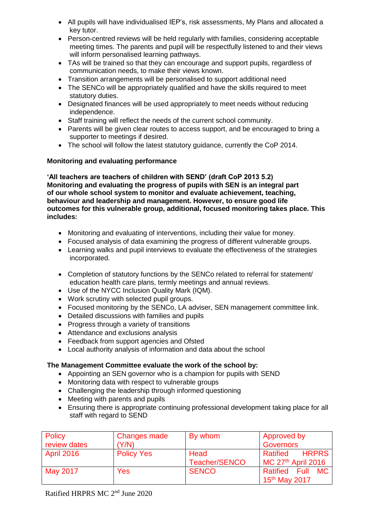- All pupils will have individualised IEP's, risk assessments, My Plans and allocated a key tutor.
- Person-centred reviews will be held regularly with families, considering acceptable meeting times. The parents and pupil will be respectfully listened to and their views will inform personalised learning pathways.
- TAs will be trained so that they can encourage and support pupils, regardless of communication needs, to make their views known.
- Transition arrangements will be personalised to support additional need
- The SENCo will be appropriately qualified and have the skills required to meet statutory duties.
- Designated finances will be used appropriately to meet needs without reducing independence.
- Staff training will reflect the needs of the current school community.
- Parents will be given clear routes to access support, and be encouraged to bring a supporter to meetings if desired.
- The school will follow the latest statutory quidance, currently the CoP 2014.

#### **Monitoring and evaluating performance**

**'All teachers are teachers of children with SEND' (draft CoP 2013 5.2) Monitoring and evaluating the progress of pupils with SEN is an integral part of our whole school system to monitor and evaluate achievement, teaching, behaviour and leadership and management. However, to ensure good life outcomes for this vulnerable group, additional, focused monitoring takes place. This includes:**

- Monitoring and evaluating of interventions, including their value for money.
- Focused analysis of data examining the progress of different vulnerable groups.
- Learning walks and pupil interviews to evaluate the effectiveness of the strategies incorporated.
- Completion of statutory functions by the SENCo related to referral for statement/ education health care plans, termly meetings and annual reviews.
- Use of the NYCC Inclusion Quality Mark (IQM).
- Work scrutiny with selected pupil groups.
- Focused monitoring by the SENCo, LA adviser, SEN management committee link.
- Detailed discussions with families and pupils
- Progress through a variety of transitions
- Attendance and exclusions analysis
- Feedback from support agencies and Ofsted
- Local authority analysis of information and data about the school

#### **The Management Committee evaluate the work of the school by:**

- Appointing an SEN governor who is a champion for pupils with SEND
- Monitoring data with respect to vulnerable groups
- Challenging the leadership through informed questioning
- Meeting with parents and pupils
- Ensuring there is appropriate continuing professional development taking place for all staff with regard to SEND

| <b>Policy</b>     | Changes made      | By whom       | <b>Approved by</b>                |
|-------------------|-------------------|---------------|-----------------------------------|
| review dates      | (Y/N)             |               | <b>Governors</b>                  |
| <b>April 2016</b> | <b>Policy Yes</b> | Head          | <b>HRPRS</b><br>Ratified          |
|                   |                   | Teacher/SENCO | $MC$ 27 <sup>th</sup> April 2016  |
| May 2017          | <b>Yes</b>        | <b>SENCO</b>  | <b>Ratified Full</b><br><b>MC</b> |
|                   |                   |               | 15 <sup>th</sup> May 2017         |